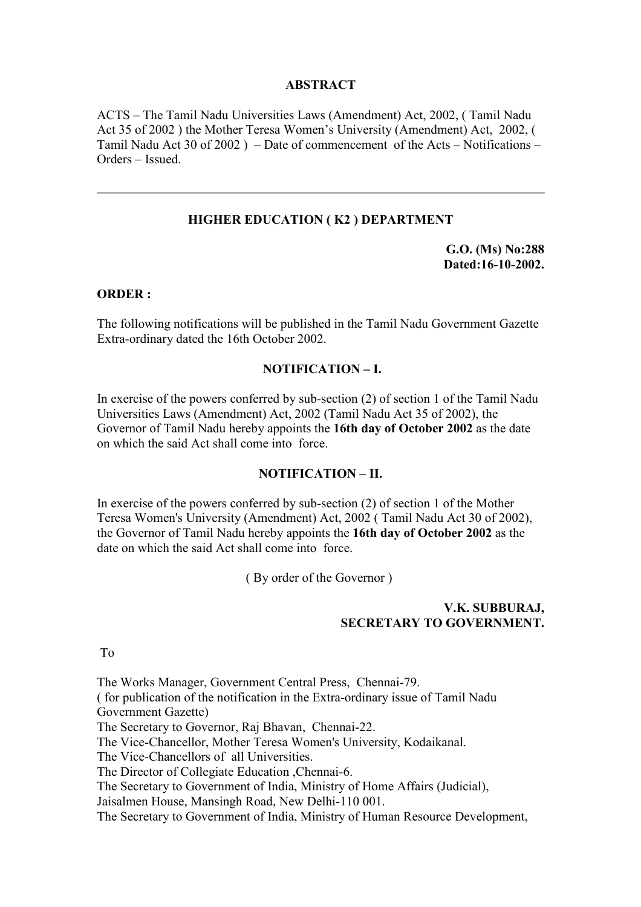### **ABSTRACT**

ACTS – The Tamil Nadu Universities Laws (Amendment) Act, 2002, ( Tamil Nadu Act 35 of 2002 ) the Mother Teresa Women's University (Amendment) Act, 2002, ( Tamil Nadu Act 30 of 2002 ) – Date of commencement of the Acts – Notifications – Orders – Issued.

# **HIGHER EDUCATION ( K2 ) DEPARTMENT**

**G.O. (Ms) No:288 Dated:16-10-2002.** 

### **ORDER :**

The following notifications will be published in the Tamil Nadu Government Gazette Extra-ordinary dated the 16th October 2002.

#### **NOTIFICATION – I.**

In exercise of the powers conferred by sub-section (2) of section 1 of the Tamil Nadu Universities Laws (Amendment) Act, 2002 (Tamil Nadu Act 35 of 2002), the Governor of Tamil Nadu hereby appoints the **16th day of October 2002** as the date on which the said Act shall come into force.

# **NOTIFICATION – II.**

In exercise of the powers conferred by sub-section (2) of section 1 of the Mother Teresa Women's University (Amendment) Act, 2002 ( Tamil Nadu Act 30 of 2002), the Governor of Tamil Nadu hereby appoints the **16th day of October 2002** as the date on which the said Act shall come into force.

( By order of the Governor )

### **V.K. SUBBURAJ, SECRETARY TO GOVERNMENT.**

To

The Works Manager, Government Central Press, Chennai-79. ( for publication of the notification in the Extra-ordinary issue of Tamil Nadu Government Gazette) The Secretary to Governor, Raj Bhavan, Chennai-22. The Vice-Chancellor, Mother Teresa Women's University, Kodaikanal. The Vice-Chancellors of all Universities. The Director of Collegiate Education ,Chennai-6. The Secretary to Government of India, Ministry of Home Affairs (Judicial), Jaisalmen House, Mansingh Road, New Delhi-110 001. The Secretary to Government of India, Ministry of Human Resource Development,